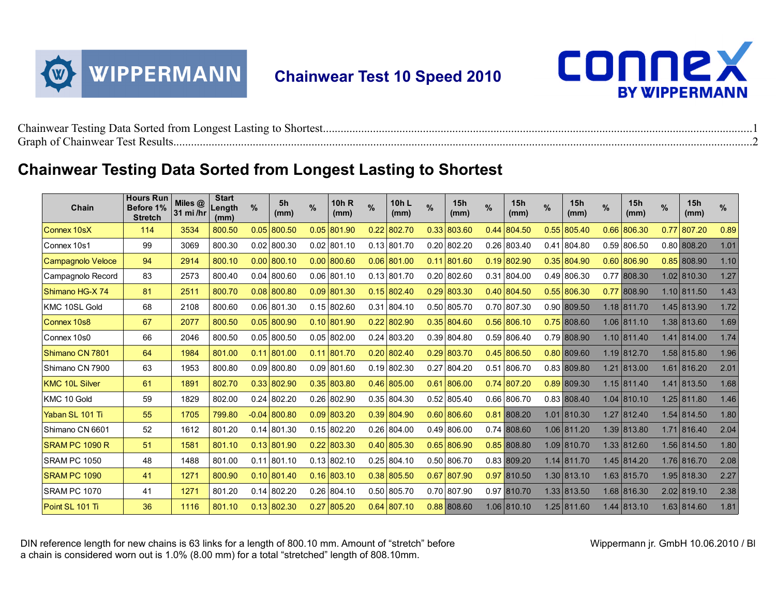

## **Chainwear Test 10 Speed 2010**



| $\sim$ 1<br>17 L                                                                                                                          |  |
|-------------------------------------------------------------------------------------------------------------------------------------------|--|
| $\sim$ $\sim$<br>the contract of the contract of the contract of the contract of the contract of the contract of the contract of<br>-rant |  |

## **Chainwear Testing Data Sorted from Longest Lasting to Shortest**

| Chain               | <b>Hours Run</b><br>Before 1%<br><b>Stretch</b> | Miles @<br>31 mi/hr | <b>Start</b><br>Length<br>(mm) | $\%$    | 5h<br>(mm)    | $\frac{9}{6}$ | 10h R<br>(mm) | $\frac{9}{6}$ | 10h L<br>(mm) | $\frac{0}{0}$ | 15h<br>(mm)    | $\%$ | 15h<br>(mm)           | % | 15h<br>(mm)   | $\frac{0}{0}$ | 15h<br>(mm)   | %    | 15h<br>(mm)   | %    |
|---------------------|-------------------------------------------------|---------------------|--------------------------------|---------|---------------|---------------|---------------|---------------|---------------|---------------|----------------|------|-----------------------|---|---------------|---------------|---------------|------|---------------|------|
| Connex 10sX         | 114                                             | 3534                | 800.50                         | 0.05    | 800.50        |               | $0.05$ 801.90 |               | $0.22$ 802.70 |               | 0.33 803.60    |      | $0.44 \,   \, 804.50$ |   | $0.55$ 805.40 |               | $0.66$ 806.30 | 0.77 | 807.20        | 0.89 |
| Connex 10s1         | 99                                              | 3069                | 800.30                         |         | $0.02$ 800.30 |               | $0.02$ 801.10 |               | $0.13$ 801.70 |               | $0.20$ 802.20  |      | $0.26$ 803.40         |   | $0.41$ 804.80 |               | $0.59$ 806.50 |      | 0.80 808.20   | 1.01 |
| Campagnolo Veloce   | 94                                              | 2914                | 800.10                         | 0.00    | 800.10        |               | $0.00$ 800.60 |               | $0.06$ 801.00 |               | $0.11$  801.60 |      | $0.19$ 802.90         |   | $0.35$ 804.90 |               | $0.60$ 806.90 |      | $0.85$ 808.90 | 1.10 |
| Campagnolo Record   | 83                                              | 2573                | 800.40                         | 0.04    | 800.60        |               | $0.06$ 801.10 |               | $0.13$ 801.70 |               | $0.20$ 802.60  |      | $0.31$ 804.00         |   | 0.49 806.30   |               | 0.77 808.30   |      | 1.02 810.30   | 1.27 |
| Shimano HG-X 74     | 81                                              | 2511                | 800.70                         | 0.08    | 800.80        |               | $0.09$ 801.30 |               | $0.15$ 802.40 | 0.29          | 803.30         |      | $0.40$ 804.50         |   | $0.55$ 806.30 |               | 0.77 808.90   |      | 1.10 811.50   | 1.43 |
| KMC 10SL Gold       | 68                                              | 2108                | 800.60                         |         | $0.06$ 801.30 |               | $0.15$ 802.60 |               | $0.31$ 804.10 |               | $0.50$ 805.70  |      | $0.70$ 807.30         |   | 0.90 809.50   |               | 1.18 811.70   |      | 1.45 813.90   | 1.72 |
| Connex 10s8         | 67                                              | 2077                | 800.50                         | 0.05    | 800.90        |               | $0.10$ 801.90 |               | $0.22$ 802.90 |               | $0.35$ 804.60  |      | $0.56$ 806.10         |   | $0.75$ 808.60 |               | 1.06 811.10   |      | 1.38 813.60   | 1.69 |
| Connex 10s0         | 66                                              | 2046                | 800.50                         |         | $0.05$ 800.50 |               | $0.05$ 802.00 |               | $0.24$ 803.20 |               | $0.39$ 804.80  |      | $0.59$ 806.40         |   | 0.79 808.90   |               | 1.10 811.40   |      | 1.41 814.00   | 1.74 |
| Shimano CN 7801     | 64                                              | 1984                | 801.00                         | 0.11    | 801.00        | 0.11          | 801.70        |               | $0.20$ 802.40 |               | $0.29$ 803.70  |      | $0.45$ 806.50         |   | $0.80$ 809.60 |               | 1.19 812.70   |      | 1.58 815.80   | 1.96 |
| Shimano CN 7900     | 63                                              | 1953                | 800.80                         | 0.09    | 800.80        |               | $0.09$ 801.60 |               | $0.19$ 802.30 |               | 0.27 804.20    |      | $0.51$ 806.70         |   | 0.83 809.80   |               | 1.21 813.00   |      | 1.61 816.20   | 2.01 |
| KMC 10L Silver      | 61                                              | 1891                | 802.70                         | 0.33    | 802.90        |               | $0.35$ 803.80 |               | $0.46$ 805.00 |               | $0.61$ 806.00  |      | $0.74$ 807.20         |   | 0.89 809.30   |               | 1.15 811.40   |      | 1.41 813.50   | 1.68 |
| KMC 10 Gold         | 59                                              | 1829                | 802.00                         |         | $0.24$ 802.20 |               | $0.26$ 802.90 |               | $0.35$ 804.30 |               | $0.52$ 805.40  |      | $0.66$ 806.70         |   | 0.83 808.40   |               | $1.04$ 810.10 |      | 1.25 811.80   | 1.46 |
| Yaban SL 101 Ti     | 55                                              | 1705                | 799.80                         | $-0.04$ | 800.80        |               | $0.09$ 803.20 |               | $0.39$ 804.90 |               | $0.60$ 806.60  |      | 0.81 808.20           |   | 1.01 810.30   |               | 1.27 812.40   |      | $1.54$ 814.50 | 1.80 |
| Shimano CN 6601     | 52                                              | 1612                | 801.20                         |         | $0.14$ 801.30 |               | $0.15$ 802.20 |               | $0.26$ 804.00 |               | $0.49$ 806.00  |      | 0.74 808.60           |   | 1.06 811.20   |               | 1.39 813.80   |      | 1.71 816.40   | 2.04 |
| SRAM PC 1090 R      | 51                                              | 1581                | 801.10                         | 0.13    | 801.90        |               | $0.22$ 803.30 |               | $0.40$ 805.30 |               | $0.65$ 806.90  |      | 0.85 808.80           |   | 1.09 810.70   |               | 1.33 812.60   |      | 1.56 814.50   | 1.80 |
| <b>SRAM PC 1050</b> | 48                                              | 1488                | 801.00                         | 0.11    | 801.10        |               | $0.13$ 802.10 |               | $0.25$ 804.10 |               | 0.50 806.70    |      | 0.83 809.20           |   | 1.14 811.70   |               | 1.45 814.20   |      | 1.76 816.70   | 2.08 |
| <b>SRAM PC 1090</b> | 41                                              | 1271                | 800.90                         | 0.10    | 801.40        |               | $0.16$ 803.10 |               | $0.38$ 805.50 |               | $0.67$ 807.90  |      | 0.97 810.50           |   | 1.30 813.10   |               | 1.63 815.70   |      | 1.95 818.30   | 2.27 |
| SRAM PC 1070        | 41                                              | 1271                | 801.20                         |         | $0.14$ 802.20 |               | $0.26$ 804.10 |               | $0.50$ 805.70 |               | 0.70 807.90    |      | 0.97 810.70           |   | 1.33 813.50   |               | 1.68 816.30   |      | $2.02$ 819.10 | 2.38 |
| Point SL 101 Ti     | 36                                              | 1116                | 801.10                         |         | $0.13$ 802.30 | 0.27          | 805.20        |               | $0.64$ 807.10 |               | 0.88 808.60    |      | 1.06 810.10           |   | 1.25 811.60   |               | 1.44 813.10   |      | 1.63 814.60   | 1.81 |

DIN reference length for new chains is 63 links for a length of 800.10 mm. Amount of "stretch" before a chain is considered worn out is 1.0% (8.00 mm) for a total "stretched" length of 808.10mm.